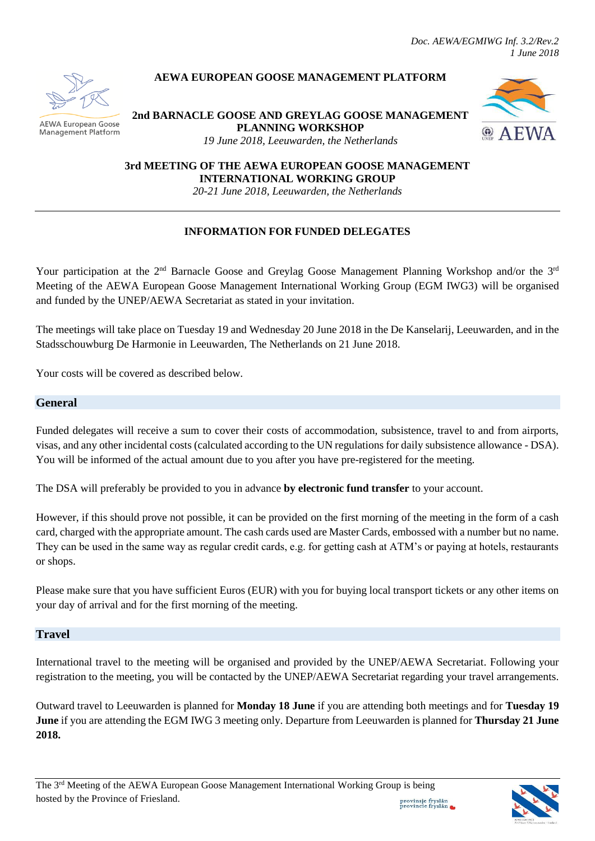*Doc. AEWA/EGMIWG Inf. 3.2/Rev.2 1 June 2018*



#### **AEWA European Goose** Management Platform

## **AEWA EUROPEAN GOOSE MANAGEMENT PLATFORM**

# **2nd BARNACLE GOOSE AND GREYLAG GOOSE MANAGEMENT PLANNING WORKSHOP**



*19 June 2018, Leeuwarden, the Netherlands*

**3rd MEETING OF THE AEWA EUROPEAN GOOSE MANAGEMENT INTERNATIONAL WORKING GROUP**

*20-21 June 2018, Leeuwarden, the Netherlands*

#### **INFORMATION FOR FUNDED DELEGATES**

Your participation at the 2<sup>nd</sup> Barnacle Goose and Greylag Goose Management Planning Workshop and/or the 3<sup>rd</sup> Meeting of the AEWA European Goose Management International Working Group (EGM IWG3) will be organised and funded by the UNEP/AEWA Secretariat as stated in your invitation.

The meetings will take place on Tuesday 19 and Wednesday 20 June 2018 in the De Kanselarij, Leeuwarden, and in the Stadsschouwburg De Harmonie in Leeuwarden, The Netherlands on 21 June 2018.

Your costs will be covered as described below.

#### **General**

Funded delegates will receive a sum to cover their costs of accommodation, subsistence, travel to and from airports, visas, and any other incidental costs (calculated according to the UN regulations for daily subsistence allowance - DSA). You will be informed of the actual amount due to you after you have pre-registered for the meeting.

The DSA will preferably be provided to you in advance **by electronic fund transfer** to your account.

However, if this should prove not possible, it can be provided on the first morning of the meeting in the form of a cash card, charged with the appropriate amount. The cash cards used are Master Cards, embossed with a number but no name. They can be used in the same way as regular credit cards, e.g. for getting cash at ATM's or paying at hotels, restaurants or shops.

Please make sure that you have sufficient Euros (EUR) with you for buying local transport tickets or any other items on your day of arrival and for the first morning of the meeting.

### **Travel**

International travel to the meeting will be organised and provided by the UNEP/AEWA Secretariat. Following your registration to the meeting, you will be contacted by the UNEP/AEWA Secretariat regarding your travel arrangements.

Outward travel to Leeuwarden is planned for **Monday 18 June** if you are attending both meetings and for **Tuesday 19 June** if you are attending the EGM IWG 3 meeting only. Departure from Leeuwarden is planned for **Thursday 21 June 2018.**